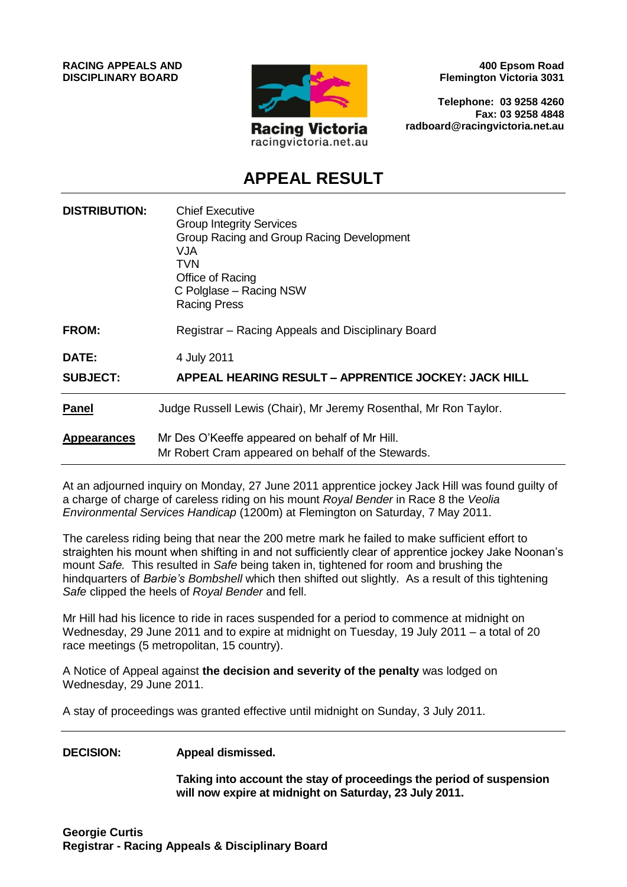

**400 Epsom Road Flemington Victoria 3031**

**Telephone: 03 9258 4260 Fax: 03 9258 4848 radboard@racingvictoria.net.au**

## **APPEAL RESULT**

| <b>DISTRIBUTION:</b> | <b>Chief Executive</b><br><b>Group Integrity Services</b><br>Group Racing and Group Racing Development<br>VJA<br>TVN<br>Office of Racing<br>C Polglase – Racing NSW<br><b>Racing Press</b> |
|----------------------|--------------------------------------------------------------------------------------------------------------------------------------------------------------------------------------------|
| <b>FROM:</b>         | Registrar - Racing Appeals and Disciplinary Board                                                                                                                                          |
| DATE:                | 4 July 2011                                                                                                                                                                                |
| <b>SUBJECT:</b>      | <b>APPEAL HEARING RESULT - APPRENTICE JOCKEY: JACK HILL</b>                                                                                                                                |
| <b>Panel</b>         | Judge Russell Lewis (Chair), Mr Jeremy Rosenthal, Mr Ron Taylor.                                                                                                                           |
| <b>Appearances</b>   | Mr Des O'Keeffe appeared on behalf of Mr Hill.<br>Mr Robert Cram appeared on behalf of the Stewards.                                                                                       |

At an adjourned inquiry on Monday, 27 June 2011 apprentice jockey Jack Hill was found guilty of a charge of charge of careless riding on his mount *Royal Bender* in Race 8 the *Veolia Environmental Services Handicap* (1200m) at Flemington on Saturday, 7 May 2011.

The careless riding being that near the 200 metre mark he failed to make sufficient effort to straighten his mount when shifting in and not sufficiently clear of apprentice jockey Jake Noonan's mount *Safe.* This resulted in *Safe* being taken in, tightened for room and brushing the hindquarters of *Barbie's Bombshell* which then shifted out slightly. As a result of this tightening *Safe* clipped the heels of *Royal Bender* and fell.

Mr Hill had his licence to ride in races suspended for a period to commence at midnight on Wednesday, 29 June 2011 and to expire at midnight on Tuesday, 19 July 2011 – a total of 20 race meetings (5 metropolitan, 15 country).

A Notice of Appeal against **the decision and severity of the penalty** was lodged on Wednesday, 29 June 2011.

A stay of proceedings was granted effective until midnight on Sunday, 3 July 2011.

**DECISION: Appeal dismissed.**

**Taking into account the stay of proceedings the period of suspension will now expire at midnight on Saturday, 23 July 2011.**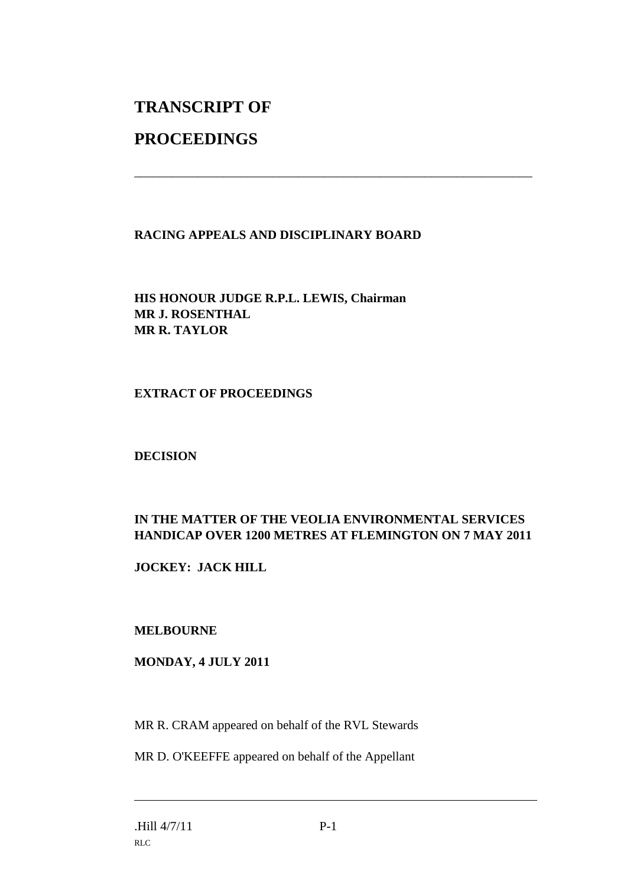# **TRANSCRIPT OF**

### **PROCEEDINGS**

#### **RACING APPEALS AND DISCIPLINARY BOARD**

\_\_\_\_\_\_\_\_\_\_\_\_\_\_\_\_\_\_\_\_\_\_\_\_\_\_\_\_\_\_\_\_\_\_\_\_\_\_\_\_\_\_\_\_\_\_\_\_\_\_\_\_\_\_\_\_\_\_\_\_\_\_\_

**HIS HONOUR JUDGE R.P.L. LEWIS, Chairman MR J. ROSENTHAL MR R. TAYLOR**

#### **EXTRACT OF PROCEEDINGS**

**DECISION**

#### **IN THE MATTER OF THE VEOLIA ENVIRONMENTAL SERVICES HANDICAP OVER 1200 METRES AT FLEMINGTON ON 7 MAY 2011**

**JOCKEY: JACK HILL**

#### **MELBOURNE**

**MONDAY, 4 JULY 2011**

MR R. CRAM appeared on behalf of the RVL Stewards

MR D. O'KEEFFE appeared on behalf of the Appellant